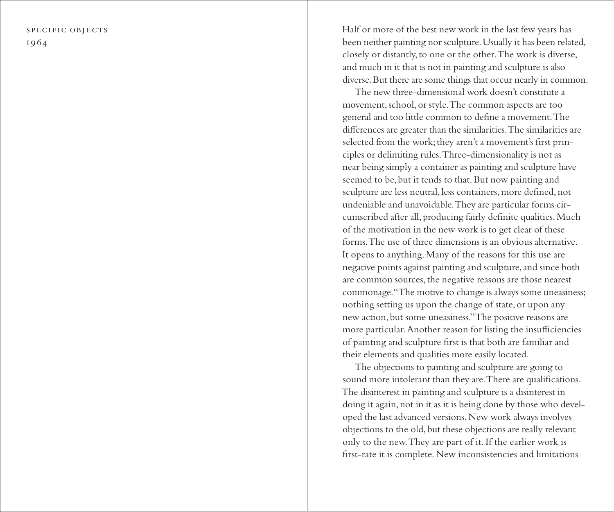SPECIFIC OBJECTS 1964

Half or more of the best new work in the last few years has been neither painting nor sculpture. Usually it has been related, closely or distantly, to one or the other. The work is diverse, and much in it that is not in painting and sculpture is also diverse. But there are some things that occur nearly in common.

The new three-dimensional work doesn't constitute a movement, school, or style. The common aspects are too general and too little common to define a movement. The differences are greater than the similarities. The similarities are selected from the work; they aren't a movement's first prin ciples or delimiting rules. Three-dimensionality is not as near being simply a container as painting and sculpture have seemed to be, but it tends to that. But now painting and sculpture are less neutral, less containers, more defined, not undeniable and unavoidable. They are particular forms cir cumscribed after all, producing fairly definite qualities. Much of the motivation in the new work is to get clear of these forms. The use of three dimensions is an obvious alternative. It opens to anything. Many of the reasons for this use are negative points against painting and sculpture, and since both are common sources, the negative reasons are those nearest commonage. "The motive to change is always some uneasiness; nothing setting us upon the change of state, or upon any new action, but some uneasiness." The positive reasons are more particular. Another reason for listing the insufficiencies of painting and sculpture first is that both are familiar and their elements and qualities more easily located.

The objections to painting and sculpture are going to sound more intolerant than they are. There are qualifications. The disinterest in painting and sculpture is a disinterest in doing it again, not in it as it is being done by those who devel oped the last advanced versions. New work always involves objections to the old, but these objections are really relevant only to the new. They are part of it. If the earlier work is first-rate it is complete. New inconsistencies and limitations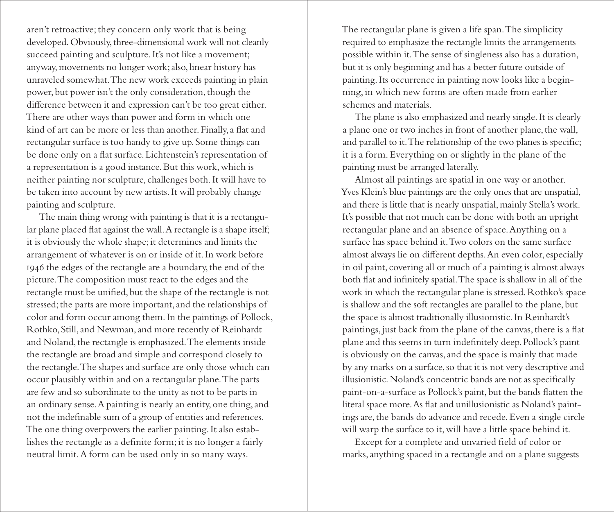aren't retroactive; they concern only work that is being developed. Obviously, three-dimensional work will not cleanly succeed painting and sculpture. It's not like a movement; anyway, movements no longer work; also, linear history has unraveled somewhat. The new work exceeds painting in plain power, but power isn't the only consideration, though the difference between it and expression can't be too great either. There are other ways than power and form in which one kind of art can be more or less than another. Finally, a flat and rectangular surface is too handy to give up. Some things can be done only on a flat surface. Lichtenstein's representation of a representation is a good instance. But this work, which is neither painting nor sculpture, challenges both. It will have to be taken into account by new artists. It will probably change painting and sculpture.

The main thing wrong with painting is that it is a rectangular plane placed flat against the wall. A rectangle is a shape itself; it is obviously the whole shape; it determines and limits the arrangement of whatever is on or inside of it. In work before 1946 the edges of the rectangle are a boundary, the end of the picture. The composition must react to the edges and the rectangle must be unified, but the shape of the rectangle is not stressed; the parts are more important, and the relationships of color and form occur among them. In the paintings of Pollock, Rothko, Still, and Newman, and more recently of Reinhardt and Noland, the rectangle is emphasized. The elements inside the rectangle are broad and simple and correspond closely to the rectangle. The shapes and surface are only those which can occur plausibly within and on a rectangular plane. The parts are few and so subordinate to the unity as not to be parts in an ordinary sense. A painting is nearly an entity, one thing, and not the indefinable sum of a group of entities and references. The one thing overpowers the earlier painting. It also establishes the rectangle as a definite form; it is no longer a fairly neutral limit. A form can be used only in so many ways.

The rectangular plane is given a life span. The simplicity required to emphasize the rectangle limits the arrangements possible within it. The sense of singleness also has a duration, but it is only beginning and has a better future outside of painting. Its occurrence in painting now looks like a beginning, in which new forms are often made from earlier schemes and materials.

The plane is also emphasized and nearly single. It is clearly a plane one or two inches in front of another plane, the wall, and parallel to it. The relationship of the two planes is specific; it is a form. Everything on or slightly in the plane of the painting must be arranged laterally.

Almost all paintings are spatial in one way or another. Yves Klein's blue paintings are the only ones that are unspatial, and there is little that is nearly unspatial, mainly Stella's work. It's possible that not much can be done with both an upright rectangular plane and an absence of space. Anything on a surface has space behind it. Two colors on the same surface almost always lie on different depths. An even color, especially in oil paint, covering all or much of a painting is almost always both flat and infinitely spatial. The space is shallow in all of the work in which the rectangular plane is stressed. Rothko's space is shallow and the soft rectangles are parallel to the plane, but the space is almost traditionally illusionistic. In Reinhardt's paintings, just back from the plane of the canvas, there is a flat plane and this seems in turn indefinitely deep. Pollock's paint is obviously on the canvas, and the space is mainly that made by any marks on a surface, so that it is not very descriptive and illusionistic. Noland's concentric bands are not as specifically paint-on-a-surface as Pollock's paint, but the bands flatten the literal space more. As flat and unillusionistic as Noland's paintings are, the bands do advance and recede. Even a single circle will warp the surface to it, will have a little space behind it.

Except for a complete and unvaried field of color or marks, anything spaced in a rectangle and on a plane suggests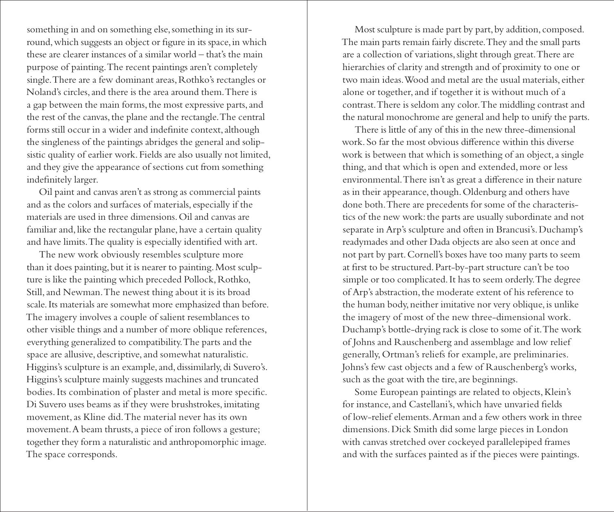something in and on something else, something in its surround, which suggests an object or figure in its space, in which these are clearer instances of a similar world – that's the main purpose of painting. The recent paintings aren't completely single. There are a few dominant areas, Rothko's rectangles or Noland's circles, and there is the area around them. There is a gap between the main forms, the most expressive parts, and the rest of the canvas, the plane and the rectangle. The central forms still occur in a wider and indefinite context, although the singleness of the paintings abridges the general and solipsistic quality of earlier work. Fields are also usually not limited, and they give the appearance of sections cut from something indefinitely larger.

Oil paint and canvas aren't as strong as commercial paints and as the colors and surfaces of materials, especially if the materials are used in three dimensions. Oil and canvas are familiar and, like the rectangular plane, have a certain quality and have limits. The quality is especially identified with art.

The new work obviously resembles sculpture more than it does painting, but it is nearer to painting. Most sculpture is like the painting which preceded Pollock, Rothko, Still, and Newman. The newest thing about it is its broad scale. Its materials are somewhat more emphasized than before. The imagery involves a couple of salient resemblances to other visible things and a number of more oblique references, everything generalized to compatibility. The parts and the space are allusive, descriptive, and somewhat naturalistic. Higgins's sculpture is an example, and, dissimilarly, di Suvero's. Higgins's sculpture mainly suggests machines and truncated bodies. Its combination of plaster and metal is more specific. Di Suvero uses beams as if they were brushstrokes, imitating movement, as Kline did. The material never has its own movement. A beam thrusts, a piece of iron follows a gesture; together they form a naturalistic and anthropomorphic image. The space corresponds.

Most sculpture is made part by part, by addition, composed. The main parts remain fairly discrete. They and the small parts are a collection of variations, slight through great. There are hierarchies of clarity and strength and of proximity to one or two main ideas. Wood and metal are the usual materials, either alone or together, and if together it is without much of a contrast. There is seldom any color. The middling contrast and the natural monochrome are general and help to unify the parts.

There is little of any of this in the new three-dimensional work. So far the most obvious difference within this diverse work is between that which is something of an object, a single thing, and that which is open and extended, more or less environmental. There isn't as great a difference in their nature as in their appearance, though. Oldenburg and others have done both. There are precedents for some of the characteristics of the new work: the parts are usually subordinate and not separate in Arp's sculpture and often in Brancusi's. Duchamp's readymades and other Dada objects are also seen at once and not part by part. Cornell's boxes have too many parts to seem at first to be structured. Part-by-part structure can't be too simple or too complicated. It has to seem orderly. The degree of Arp's abstraction, the moderate extent of his reference to the human body, neither imitative nor very oblique, is unlike the imagery of most of the new three-dimensional work. Duchamp's bottle-drying rack is close to some of it. The work of Johns and Rauschenberg and assemblage and low relief generally, Ortman's reliefs for example, are preliminaries. Johns's few cast objects and a few of Rauschenberg's works, such as the goat with the tire, are beginnings.

Some European paintings are related to objects, Klein's for instance, and Castellani's, which have unvaried fields of low-relief elements. Arman and a few others work in three dimensions. Dick Smith did some large pieces in London with canvas stretched over cockeyed parallelepiped frames and with the surfaces painted as if the pieces were paintings.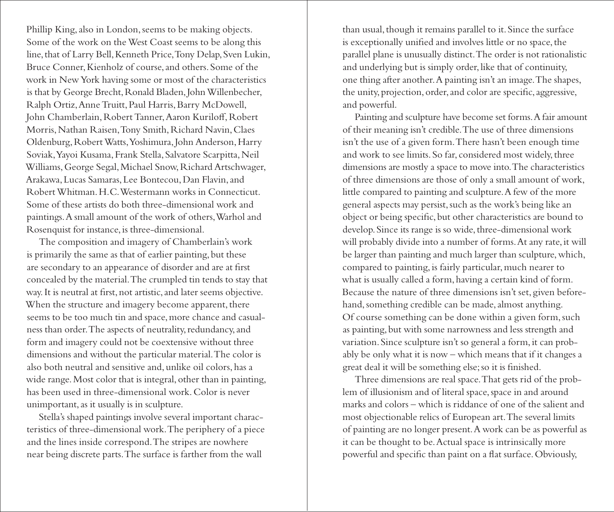Phillip King, also in London, seems to be making objects. Some of the work on the West Coast seems to be along this line, that of Larry Bell, Kenneth Price, Tony Delap, Sven Lukin, Bruce Conner, Kienholz of course, and others. Some of the work in New York having some or most of the characteristics is that by George Brecht, Ronald Bladen, John Willenbecher, Ralph Ortiz, Anne Truitt, Paul Harris, Barry McDowell, John Chamberlain, Robert Tanner, Aaron Kuriloff, Robert Morris, Nathan Raisen, Tony Smith, Richard Navin, Claes Oldenburg, Robert Watts, Yoshimura, John Anderson, Harry Soviak, Yayoi Kusama, Frank Stella, Salvatore Scarpitta, Neil Williams, George Segal, Michael Snow, Richard Artschwager, Arakawa, Lucas Samaras, Lee Bontecou, Dan Flavin, and Robert Whitman. H.C. Westermann works in Connecticut. Some of these artists do both three-dimensional work and paintings. A small amount of the work of others, Warhol and Rosenquist for instance, is three-dimensional.

The composition and imagery of Chamberlain's work is primarily the same as that of earlier painting, but these are secondary to an appearance of disorder and are at first concealed by the material. The crumpled tin tends to stay that way. It is neutral at first, not artistic, and later seems objective. When the structure and imagery become apparent, there seems to be too much tin and space, more chance and casualness than order. The aspects of neutrality, redundancy, and form and imagery could not be coextensive without three dimensions and without the particular material. The color is also both neutral and sensitive and, unlike oil colors, has a wide range. Most color that is integral, other than in painting, has been used in three-dimensional work. Color is never unimportant, as it usually is in sculpture.

Stella's shaped paintings involve several important characteristics of three-dimensional work. The periphery of a piece and the lines inside correspond. The stripes are nowhere near being discrete parts. The surface is farther from the wall

than usual, though it remains parallel to it. Since the surface is exceptionally unified and involves little or no space, the parallel plane is unusually distinct. The order is not rationalistic and underlying but is simply order, like that of continuity, one thing after another. A painting isn't an image. The shapes, the unity, projection, order, and color are specific, aggressive, and powerful.

Painting and sculpture have become set forms. A fair amount of their meaning isn't credible. The use of three dimensions isn't the use of a given form. There hasn't been enough time and work to see limits. So far, considered most widely, three dimensions are mostly a space to move into. The characteristics of three dimensions are those of only a small amount of work, little compared to painting and sculpture. A few of the more general aspects may persist, such as the work's being like an object or being specific, but other characteristics are bound to develop. Since its range is so wide, three-dimensional work will probably divide into a number of forms. At any rate, it will be larger than painting and much larger than sculpture, which, compared to painting, is fairly particular, much nearer to what is usually called a form, having a certain kind of form. Because the nature of three dimensions isn't set, given beforehand, something credible can be made, almost anything. Of course something can be done within a given form, such as painting, but with some narrowness and less strength and variation. Since sculpture isn't so general a form, it can probably be only what it is now – which means that if it changes a great deal it will be something else; so it is finished.

Three dimensions are real space. That gets rid of the problem of illusionism and of literal space, space in and around marks and colors – which is riddance of one of the salient and most objectionable relics of European art. The several limits of painting are no longer present. A work can be as powerful as it can be thought to be. Actual space is intrinsically more powerful and specific than paint on a flat surface. Obviously,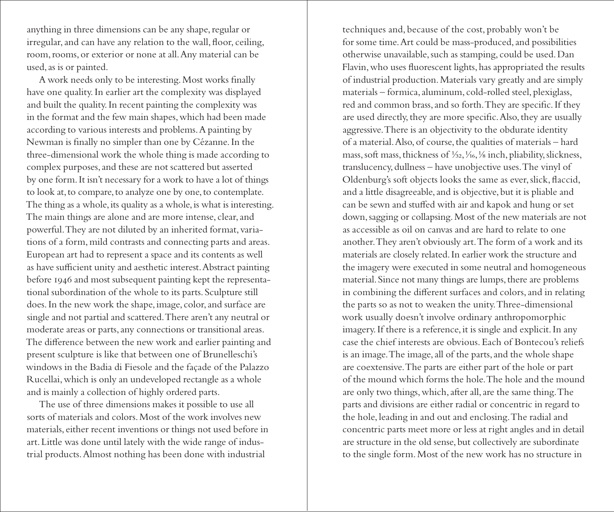anything in three dimensions can be any shape, regular or irregular, and can have any relation to the wall, floor, ceiling, room, rooms, or exterior or none at all. Any material can be used, as is or painted.

A work needs only to be interesting. Most works finally have one quality. In earlier art the complexity was displayed and built the quality. In recent painting the complexity was in the format and the few main shapes, which had been made according to various interests and problems. A painting by Newman is finally no simpler than one by Cézanne. In the three-dimensional work the whole thing is made according to complex purposes, and these are not scattered but asserted by one form. It isn't necessary for a work to have a lot of things to look at, to compare, to analyze one by one, to contemplate. The thing as a whole, its quality as a whole, is what is interesting. The main things are alone and are more intense, clear, and powerful. They are not diluted by an inherited format, variations of a form, mild contrasts and connecting parts and areas. European art had to represent a space and its contents as well as have sufficient unity and aesthetic interest. Abstract painting before 1946 and most subsequent painting kept the representational subordination of the whole to its parts. Sculpture still does. In the new work the shape, image, color, and surface are single and not partial and scattered. There aren't any neutral or moderate areas or parts, any connections or transitional areas. The difference between the new work and earlier painting and present sculpture is like that between one of Brunelleschi's windows in the Badia di Fiesole and the façade of the Palazzo Rucellai, which is only an undeveloped rectangle as a whole and is mainly a collection of highly ordered parts.

The use of three dimensions makes it possible to use all sorts of materials and colors. Most of the work involves new materials, either recent inventions or things not used before in art. Little was done until lately with the wide range of industrial products. Almost nothing has been done with industrial

techniques and, because of the cost, probably won't be for some time. Art could be mass-produced, and possibilities otherwise unavailable, such as stamping, could be used. Dan Flavin, who uses fluorescent lights, has appropriated the results of industrial production. Materials vary greatly and are simply materials – formica, aluminum, cold-rolled steel, plexiglass, red and common brass, and so forth. They are specific. If they are used directly, they are more specific. Also, they are usually aggressive. There is an objectivity to the obdurate identity of a material. Also, of course, the qualities of materials – hard mass, soft mass, thickness of 1/32, 1/16, 1/8 inch, pliability, slickness, translucency, dullness – have unobjective uses. The vinyl of Oldenburg's soft objects looks the same as ever, slick, flaccid, and a little disagreeable, and is objective, but it is pliable and can be sewn and stuffed with air and kapok and hung or set down, sagging or collapsing. Most of the new materials are not as accessible as oil on canvas and are hard to relate to one another. They aren't obviously art. The form of a work and its materials are closely related. In earlier work the structure and the imagery were executed in some neutral and homogeneous material. Since not many things are lumps, there are problems in combining the different surfaces and colors, and in relating the parts so as not to weaken the unity. Three-dimensional work usually doesn't involve ordinary anthropomorphic imagery. If there is a reference, it is single and explicit. In any case the chief interests are obvious. Each of Bontecou's reliefs is an image. The image, all of the parts, and the whole shape are coextensive. The parts are either part of the hole or part of the mound which forms the hole. The hole and the mound are only two things, which, after all, are the same thing. The parts and divisions are either radial or concentric in regard to the hole, leading in and out and enclosing. The radial and concentric parts meet more or less at right angles and in detail are structure in the old sense, but collectively are subordinate to the single form. Most of the new work has no structure in